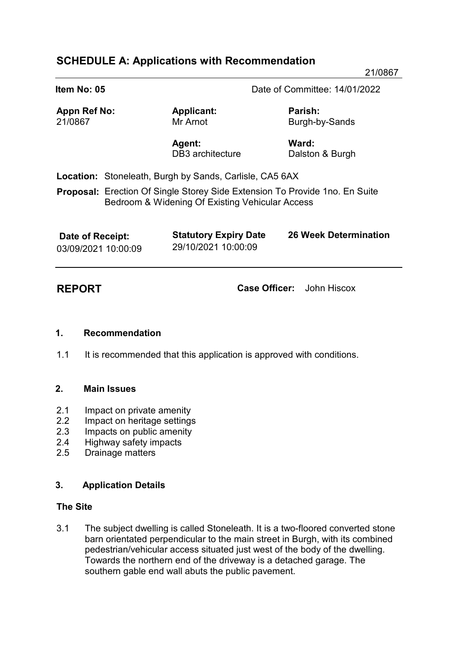# **SCHEDULE A: Applications with Recommendation**

21/0867

| Item No: 05<br><b>Appn Ref No:</b><br>21/0867 |  | Date of Committee: 14/01/2022                                                                                                         |                              |
|-----------------------------------------------|--|---------------------------------------------------------------------------------------------------------------------------------------|------------------------------|
|                                               |  | <b>Applicant:</b><br>Mr Arnot                                                                                                         | Parish:<br>Burgh-by-Sands    |
|                                               |  | Agent:<br>DB <sub>3</sub> architecture                                                                                                | Ward:<br>Dalston & Burgh     |
|                                               |  | <b>Location:</b> Stoneleath, Burgh by Sands, Carlisle, CA5 6AX                                                                        |                              |
|                                               |  | <b>Proposal:</b> Erection Of Single Storey Side Extension To Provide 1no. En Suite<br>Bedroom & Widening Of Existing Vehicular Access |                              |
| Date of Receipt:<br>03/09/2021 10:00:09       |  | <b>Statutory Expiry Date</b><br>29/10/2021 10:00:09                                                                                   | <b>26 Week Determination</b> |

**REPORT Case Officer:** John Hiscox

## **1. Recommendation**

1.1 It is recommended that this application is approved with conditions.

### **2. Main Issues**

- 2.1 Impact on private amenity
- 2.2 Impact on heritage settings
- 2.3 Impacts on public amenity
- 2.4 Highway safety impacts
- 2.5 Drainage matters

# **3. Application Details**

# **The Site**

3.1 The subject dwelling is called Stoneleath. It is a two-floored converted stone barn orientated perpendicular to the main street in Burgh, with its combined pedestrian/vehicular access situated just west of the body of the dwelling. Towards the northern end of the driveway is a detached garage. The southern gable end wall abuts the public pavement.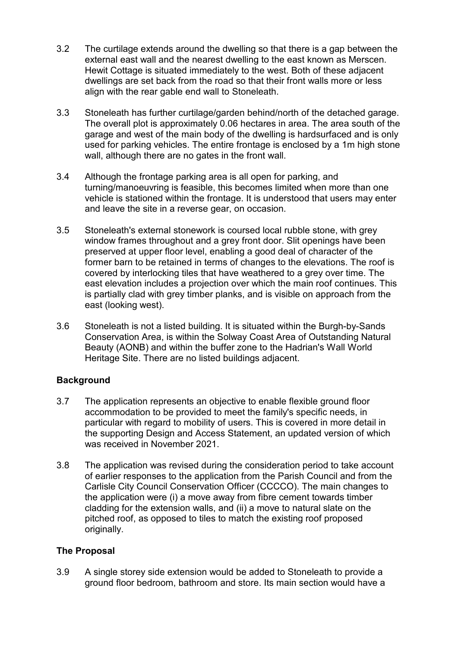- 3.2 The curtilage extends around the dwelling so that there is a gap between the external east wall and the nearest dwelling to the east known as Merscen. Hewit Cottage is situated immediately to the west. Both of these adjacent dwellings are set back from the road so that their front walls more or less align with the rear gable end wall to Stoneleath.
- 3.3 Stoneleath has further curtilage/garden behind/north of the detached garage. The overall plot is approximately 0.06 hectares in area. The area south of the garage and west of the main body of the dwelling is hardsurfaced and is only used for parking vehicles. The entire frontage is enclosed by a 1m high stone wall, although there are no gates in the front wall.
- 3.4 Although the frontage parking area is all open for parking, and turning/manoeuvring is feasible, this becomes limited when more than one vehicle is stationed within the frontage. It is understood that users may enter and leave the site in a reverse gear, on occasion.
- 3.5 Stoneleath's external stonework is coursed local rubble stone, with grey window frames throughout and a grey front door. Slit openings have been preserved at upper floor level, enabling a good deal of character of the former barn to be retained in terms of changes to the elevations. The roof is covered by interlocking tiles that have weathered to a grey over time. The east elevation includes a projection over which the main roof continues. This is partially clad with grey timber planks, and is visible on approach from the east (looking west).
- 3.6 Stoneleath is not a listed building. It is situated within the Burgh-by-Sands Conservation Area, is within the Solway Coast Area of Outstanding Natural Beauty (AONB) and within the buffer zone to the Hadrian's Wall World Heritage Site. There are no listed buildings adjacent.

# **Background**

- 3.7 The application represents an objective to enable flexible ground floor accommodation to be provided to meet the family's specific needs, in particular with regard to mobility of users. This is covered in more detail in the supporting Design and Access Statement, an updated version of which was received in November 2021.
- 3.8 The application was revised during the consideration period to take account of earlier responses to the application from the Parish Council and from the Carlisle City Council Conservation Officer (CCCCO). The main changes to the application were (i) a move away from fibre cement towards timber cladding for the extension walls, and (ii) a move to natural slate on the pitched roof, as opposed to tiles to match the existing roof proposed originally.

# **The Proposal**

3.9 A single storey side extension would be added to Stoneleath to provide a ground floor bedroom, bathroom and store. Its main section would have a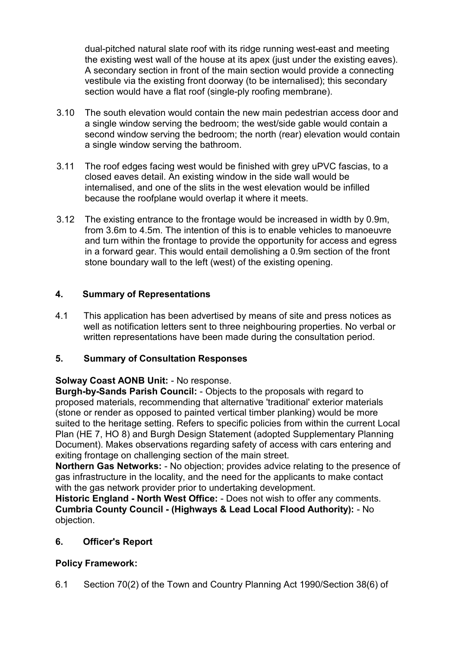dual-pitched natural slate roof with its ridge running west-east and meeting the existing west wall of the house at its apex (just under the existing eaves). A secondary section in front of the main section would provide a connecting vestibule via the existing front doorway (to be internalised); this secondary section would have a flat roof (single-ply roofing membrane).

- 3.10 The south elevation would contain the new main pedestrian access door and a single window serving the bedroom; the west/side gable would contain a second window serving the bedroom; the north (rear) elevation would contain a single window serving the bathroom.
- 3.11 The roof edges facing west would be finished with grey uPVC fascias, to a closed eaves detail. An existing window in the side wall would be internalised, and one of the slits in the west elevation would be infilled because the roofplane would overlap it where it meets.
- 3.12 The existing entrance to the frontage would be increased in width by 0.9m, from 3.6m to 4.5m. The intention of this is to enable vehicles to manoeuvre and turn within the frontage to provide the opportunity for access and egress in a forward gear. This would entail demolishing a 0.9m section of the front stone boundary wall to the left (west) of the existing opening.

# **4. Summary of Representations**

4.1 This application has been advertised by means of site and press notices as well as notification letters sent to three neighbouring properties. No verbal or written representations have been made during the consultation period.

# **5. Summary of Consultation Responses**

# **Solway Coast AONB Unit:** - No response.

**Burgh-by-Sands Parish Council:** - Objects to the proposals with regard to proposed materials, recommending that alternative 'traditional' exterior materials (stone or render as opposed to painted vertical timber planking) would be more suited to the heritage setting. Refers to specific policies from within the current Local Plan (HE 7, HO 8) and Burgh Design Statement (adopted Supplementary Planning Document). Makes observations regarding safety of access with cars entering and exiting frontage on challenging section of the main street.

**Northern Gas Networks:** - No objection; provides advice relating to the presence of gas infrastructure in the locality, and the need for the applicants to make contact with the gas network provider prior to undertaking development.

**Historic England - North West Office:** - Does not wish to offer any comments. **Cumbria County Council - (Highways & Lead Local Flood Authority):** - No objection.

# **6. Officer's Report**

# **Policy Framework:**

6.1 Section 70(2) of the Town and Country Planning Act 1990/Section 38(6) of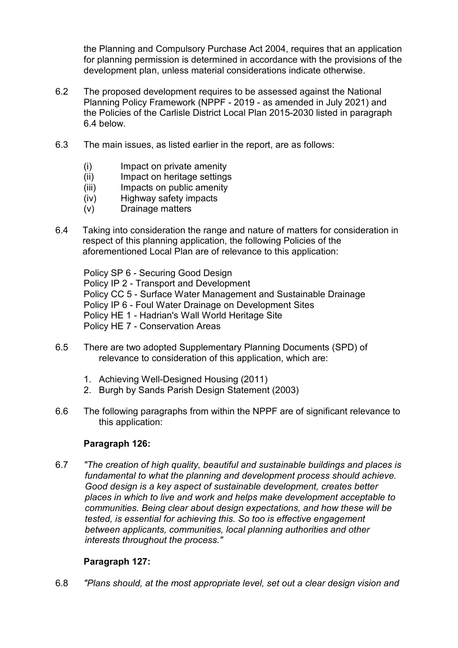the Planning and Compulsory Purchase Act 2004, requires that an application for planning permission is determined in accordance with the provisions of the development plan, unless material considerations indicate otherwise.

- 6.2 The proposed development requires to be assessed against the National Planning Policy Framework (NPPF - 2019 - as amended in July 2021) and the Policies of the Carlisle District Local Plan 2015-2030 listed in paragraph 6.4 below.
- 6.3 The main issues, as listed earlier in the report, are as follows:
	- (i) Impact on private amenity
	- (ii) Impact on heritage settings
	- (iii) Impacts on public amenity
	- (iv) Highway safety impacts
	- (v) Drainage matters
- 6.4 Taking into consideration the range and nature of matters for consideration in respect of this planning application, the following Policies of the aforementioned Local Plan are of relevance to this application:

 Policy SP 6 - Securing Good Design Policy IP 2 - Transport and Development Policy CC 5 - Surface Water Management and Sustainable Drainage Policy IP 6 - Foul Water Drainage on Development Sites Policy HE 1 - Hadrian's Wall World Heritage Site Policy HE 7 - Conservation Areas

- 6.5 There are two adopted Supplementary Planning Documents (SPD) of relevance to consideration of this application, which are:
	- 1. Achieving Well-Designed Housing (2011)
	- 2. Burgh by Sands Parish Design Statement (2003)
- 6.6 The following paragraphs from within the NPPF are of significant relevance to this application:

### **Paragraph 126:**

6.7 *"The creation of high quality, beautiful and sustainable buildings and places is fundamental to what the planning and development process should achieve. Good design is a key aspect of sustainable development, creates better places in which to live and work and helps make development acceptable to communities. Being clear about design expectations, and how these will be tested, is essential for achieving this. So too is effective engagement between applicants, communities, local planning authorities and other interests throughout the process."*

### **Paragraph 127:**

6.8 *"Plans should, at the most appropriate level, set out a clear design vision and*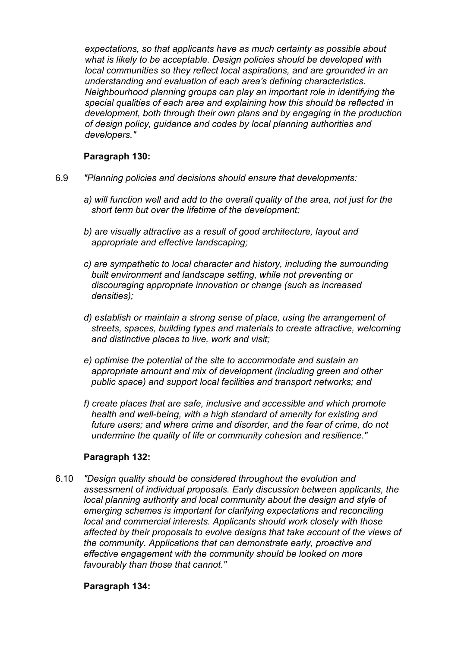*expectations, so that applicants have as much certainty as possible about what is likely to be acceptable. Design policies should be developed with local communities so they reflect local aspirations, and are grounded in an understanding and evaluation of each area's defining characteristics. Neighbourhood planning groups can play an important role in identifying the special qualities of each area and explaining how this should be reflected in development, both through their own plans and by engaging in the production of design policy, guidance and codes by local planning authorities and developers."*

# **Paragraph 130:**

- 6.9 *"Planning policies and decisions should ensure that developments:*
	- *a) will function well and add to the overall quality of the area, not just for the short term but over the lifetime of the development;*
	- *b) are visually attractive as a result of good architecture, layout and appropriate and effective landscaping;*
	- *c) are sympathetic to local character and history, including the surrounding built environment and landscape setting, while not preventing or discouraging appropriate innovation or change (such as increased densities);*
	- *d) establish or maintain a strong sense of place, using the arrangement of streets, spaces, building types and materials to create attractive, welcoming and distinctive places to live, work and visit;*
	- *e) optimise the potential of the site to accommodate and sustain an appropriate amount and mix of development (including green and other public space) and support local facilities and transport networks; and*
	- *f) create places that are safe, inclusive and accessible and which promote health and well-being, with a high standard of amenity for existing and future users; and where crime and disorder, and the fear of crime, do not undermine the quality of life or community cohesion and resilience."*

### **Paragraph 132:**

6.10 *"Design quality should be considered throughout the evolution and assessment of individual proposals. Early discussion between applicants, the local planning authority and local community about the design and style of emerging schemes is important for clarifying expectations and reconciling local and commercial interests. Applicants should work closely with those affected by their proposals to evolve designs that take account of the views of the community. Applications that can demonstrate early, proactive and effective engagement with the community should be looked on more favourably than those that cannot."*

### **Paragraph 134:**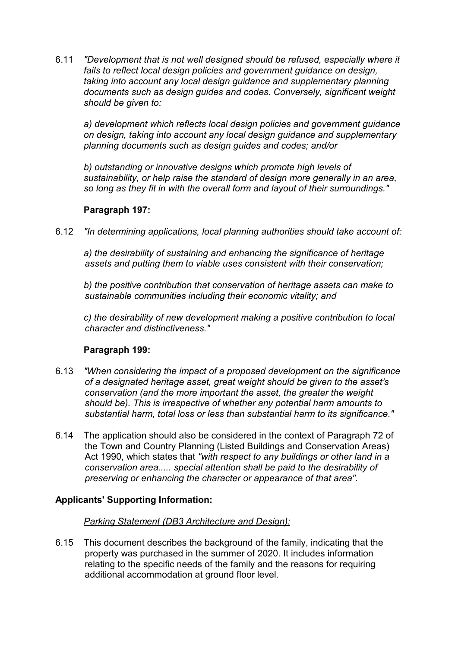6.11 *"Development that is not well designed should be refused, especially where it fails to reflect local design policies and government guidance on design, taking into account any local design guidance and supplementary planning documents such as design guides and codes. Conversely, significant weight should be given to:*

 *a) development which reflects local design policies and government guidance on design, taking into account any local design guidance and supplementary planning documents such as design guides and codes; and/or*

 *b) outstanding or innovative designs which promote high levels of sustainability, or help raise the standard of design more generally in an area, so long as they fit in with the overall form and layout of their surroundings."*

### **Paragraph 197:**

6.12 *"In determining applications, local planning authorities should take account of:*

 *a) the desirability of sustaining and enhancing the significance of heritage assets and putting them to viable uses consistent with their conservation;*

 *b) the positive contribution that conservation of heritage assets can make to sustainable communities including their economic vitality; and*

 *c) the desirability of new development making a positive contribution to local character and distinctiveness."*

#### **Paragraph 199:**

- 6.13 *"When considering the impact of a proposed development on the significance of a designated heritage asset, great weight should be given to the asset's conservation (and the more important the asset, the greater the weight should be). This is irrespective of whether any potential harm amounts to substantial harm, total loss or less than substantial harm to its significance."*
- 6.14 The application should also be considered in the context of Paragraph 72 of the Town and Country Planning (Listed Buildings and Conservation Areas) Act 1990, which states that *"with respect to any buildings or other land in a conservation area..... special attention shall be paid to the desirability of preserving or enhancing the character or appearance of that area".*

### **Applicants' Supporting Information:**

#### *Parking Statement (DB3 Architecture and Design):*

6.15 This document describes the background of the family, indicating that the property was purchased in the summer of 2020. It includes information relating to the specific needs of the family and the reasons for requiring additional accommodation at ground floor level.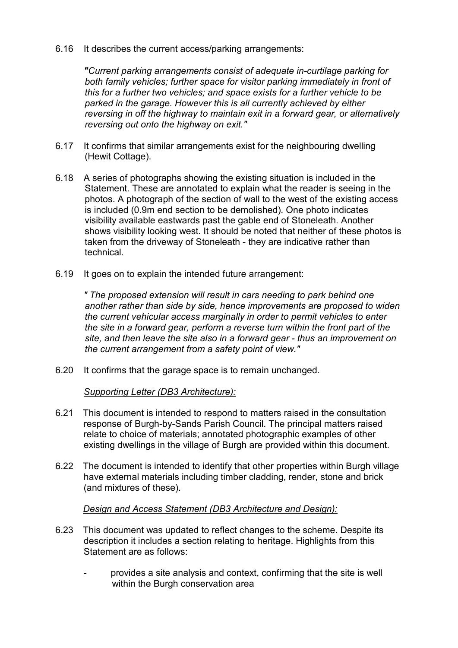6.16 It describes the current access/parking arrangements:

*"Current parking arrangements consist of adequate in-curtilage parking for both family vehicles; further space for visitor parking immediately in front of this for a further two vehicles; and space exists for a further vehicle to be parked in the garage. However this is all currently achieved by either reversing in off the highway to maintain exit in a forward gear, or alternatively reversing out onto the highway on exit."*

- 6.17 It confirms that similar arrangements exist for the neighbouring dwelling (Hewit Cottage).
- 6.18 A series of photographs showing the existing situation is included in the Statement. These are annotated to explain what the reader is seeing in the photos. A photograph of the section of wall to the west of the existing access is included (0.9m end section to be demolished). One photo indicates visibility available eastwards past the gable end of Stoneleath. Another shows visibility looking west. It should be noted that neither of these photos is taken from the driveway of Stoneleath - they are indicative rather than technical.
- 6.19 It goes on to explain the intended future arrangement:

*" The proposed extension will result in cars needing to park behind one another rather than side by side, hence improvements are proposed to widen the current vehicular access marginally in order to permit vehicles to enter the site in a forward gear, perform a reverse turn within the front part of the site, and then leave the site also in a forward gear - thus an improvement on the current arrangement from a safety point of view."*

6.20 It confirms that the garage space is to remain unchanged.

# *Supporting Letter (DB3 Architecture):*

- 6.21 This document is intended to respond to matters raised in the consultation response of Burgh-by-Sands Parish Council. The principal matters raised relate to choice of materials; annotated photographic examples of other existing dwellings in the village of Burgh are provided within this document.
- 6.22 The document is intended to identify that other properties within Burgh village have external materials including timber cladding, render, stone and brick (and mixtures of these).

# *Design and Access Statement (DB3 Architecture and Design):*

- 6.23 This document was updated to reflect changes to the scheme. Despite its description it includes a section relating to heritage. Highlights from this Statement are as follows:
	- provides a site analysis and context, confirming that the site is well within the Burgh conservation area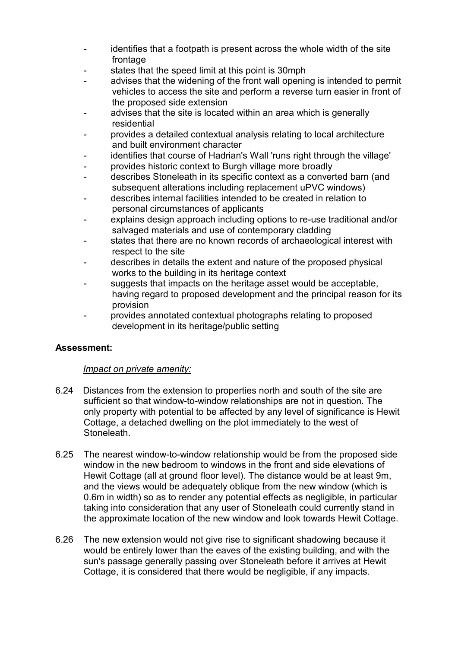- identifies that a footpath is present across the whole width of the site frontage
- states that the speed limit at this point is 30mph
- advises that the widening of the front wall opening is intended to permit vehicles to access the site and perform a reverse turn easier in front of the proposed side extension
- advises that the site is located within an area which is generally residential
- provides a detailed contextual analysis relating to local architecture and built environment character
- identifies that course of Hadrian's Wall 'runs right through the village'
- provides historic context to Burgh village more broadly
- describes Stoneleath in its specific context as a converted barn (and subsequent alterations including replacement uPVC windows)
- describes internal facilities intended to be created in relation to personal circumstances of applicants
- explains design approach including options to re-use traditional and/or salvaged materials and use of contemporary cladding
- states that there are no known records of archaeological interest with respect to the site
- describes in details the extent and nature of the proposed physical works to the building in its heritage context
- suggests that impacts on the heritage asset would be acceptable, having regard to proposed development and the principal reason for its provision
- provides annotated contextual photographs relating to proposed development in its heritage/public setting

# **Assessment:**

# *Impact on private amenity:*

- 6.24 Distances from the extension to properties north and south of the site are sufficient so that window-to-window relationships are not in question. The only property with potential to be affected by any level of significance is Hewit Cottage, a detached dwelling on the plot immediately to the west of Stoneleath.
- 6.25 The nearest window-to-window relationship would be from the proposed side window in the new bedroom to windows in the front and side elevations of Hewit Cottage (all at ground floor level). The distance would be at least 9m, and the views would be adequately oblique from the new window (which is 0.6m in width) so as to render any potential effects as negligible, in particular taking into consideration that any user of Stoneleath could currently stand in the approximate location of the new window and look towards Hewit Cottage.
- 6.26 The new extension would not give rise to significant shadowing because it would be entirely lower than the eaves of the existing building, and with the sun's passage generally passing over Stoneleath before it arrives at Hewit Cottage, it is considered that there would be negligible, if any impacts.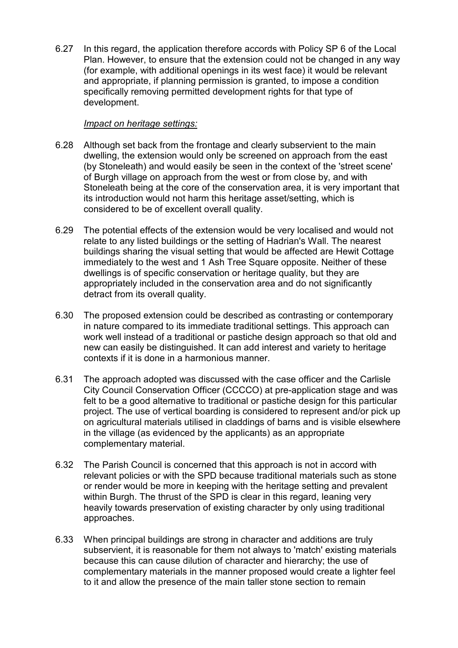6.27 In this regard, the application therefore accords with Policy SP 6 of the Local Plan. However, to ensure that the extension could not be changed in any way (for example, with additional openings in its west face) it would be relevant and appropriate, if planning permission is granted, to impose a condition specifically removing permitted development rights for that type of development.

## *Impact on heritage settings:*

- 6.28 Although set back from the frontage and clearly subservient to the main dwelling, the extension would only be screened on approach from the east (by Stoneleath) and would easily be seen in the context of the 'street scene' of Burgh village on approach from the west or from close by, and with Stoneleath being at the core of the conservation area, it is very important that its introduction would not harm this heritage asset/setting, which is considered to be of excellent overall quality.
- 6.29 The potential effects of the extension would be very localised and would not relate to any listed buildings or the setting of Hadrian's Wall. The nearest buildings sharing the visual setting that would be affected are Hewit Cottage immediately to the west and 1 Ash Tree Square opposite. Neither of these dwellings is of specific conservation or heritage quality, but they are appropriately included in the conservation area and do not significantly detract from its overall quality.
- 6.30 The proposed extension could be described as contrasting or contemporary in nature compared to its immediate traditional settings. This approach can work well instead of a traditional or pastiche design approach so that old and new can easily be distinguished. It can add interest and variety to heritage contexts if it is done in a harmonious manner.
- 6.31 The approach adopted was discussed with the case officer and the Carlisle City Council Conservation Officer (CCCCO) at pre-application stage and was felt to be a good alternative to traditional or pastiche design for this particular project. The use of vertical boarding is considered to represent and/or pick up on agricultural materials utilised in claddings of barns and is visible elsewhere in the village (as evidenced by the applicants) as an appropriate complementary material.
- 6.32 The Parish Council is concerned that this approach is not in accord with relevant policies or with the SPD because traditional materials such as stone or render would be more in keeping with the heritage setting and prevalent within Burgh. The thrust of the SPD is clear in this regard, leaning very heavily towards preservation of existing character by only using traditional approaches.
- 6.33 When principal buildings are strong in character and additions are truly subservient, it is reasonable for them not always to 'match' existing materials because this can cause dilution of character and hierarchy; the use of complementary materials in the manner proposed would create a lighter feel to it and allow the presence of the main taller stone section to remain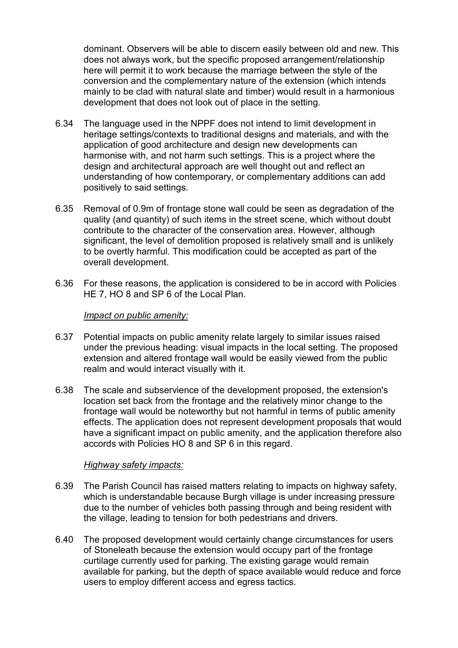dominant. Observers will be able to discern easily between old and new. This does not always work, but the specific proposed arrangement/relationship here will permit it to work because the marriage between the style of the conversion and the complementary nature of the extension (which intends mainly to be clad with natural slate and timber) would result in a harmonious development that does not look out of place in the setting.

- 6.34 The language used in the NPPF does not intend to limit development in heritage settings/contexts to traditional designs and materials, and with the application of good architecture and design new developments can harmonise with, and not harm such settings. This is a project where the design and architectural approach are well thought out and reflect an understanding of how contemporary, or complementary additions can add positively to said settings.
- 6.35 Removal of 0.9m of frontage stone wall could be seen as degradation of the quality (and quantity) of such items in the street scene, which without doubt contribute to the character of the conservation area. However, although significant, the level of demolition proposed is relatively small and is unlikely to be overtly harmful. This modification could be accepted as part of the overall development.
- 6.36 For these reasons, the application is considered to be in accord with Policies HE 7, HO 8 and SP 6 of the Local Plan.

#### *Impact on public amenity:*

- 6.37 Potential impacts on public amenity relate largely to similar issues raised under the previous heading: visual impacts in the local setting. The proposed extension and altered frontage wall would be easily viewed from the public realm and would interact visually with it.
- 6.38 The scale and subservience of the development proposed, the extension's location set back from the frontage and the relatively minor change to the frontage wall would be noteworthy but not harmful in terms of public amenity effects. The application does not represent development proposals that would have a significant impact on public amenity, and the application therefore also accords with Policies HO 8 and SP 6 in this regard.

#### *Highway safety impacts:*

- 6.39 The Parish Council has raised matters relating to impacts on highway safety, which is understandable because Burgh village is under increasing pressure due to the number of vehicles both passing through and being resident with the village, leading to tension for both pedestrians and drivers.
- 6.40 The proposed development would certainly change circumstances for users of Stoneleath because the extension would occupy part of the frontage curtilage currently used for parking. The existing garage would remain available for parking, but the depth of space available would reduce and force users to employ different access and egress tactics.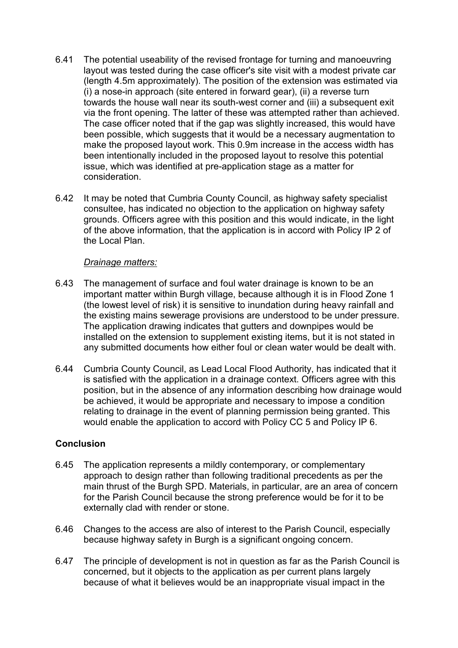- 6.41 The potential useability of the revised frontage for turning and manoeuvring layout was tested during the case officer's site visit with a modest private car (length 4.5m approximately). The position of the extension was estimated via (i) a nose-in approach (site entered in forward gear), (ii) a reverse turn towards the house wall near its south-west corner and (iii) a subsequent exit via the front opening. The latter of these was attempted rather than achieved. The case officer noted that if the gap was slightly increased, this would have been possible, which suggests that it would be a necessary augmentation to make the proposed layout work. This 0.9m increase in the access width has been intentionally included in the proposed layout to resolve this potential issue, which was identified at pre-application stage as a matter for consideration.
- 6.42 It may be noted that Cumbria County Council, as highway safety specialist consultee, has indicated no objection to the application on highway safety grounds. Officers agree with this position and this would indicate, in the light of the above information, that the application is in accord with Policy IP 2 of the Local Plan.

#### *Drainage matters:*

- 6.43 The management of surface and foul water drainage is known to be an important matter within Burgh village, because although it is in Flood Zone 1 (the lowest level of risk) it is sensitive to inundation during heavy rainfall and the existing mains sewerage provisions are understood to be under pressure. The application drawing indicates that gutters and downpipes would be installed on the extension to supplement existing items, but it is not stated in any submitted documents how either foul or clean water would be dealt with.
- 6.44 Cumbria County Council, as Lead Local Flood Authority, has indicated that it is satisfied with the application in a drainage context. Officers agree with this position, but in the absence of any information describing how drainage would be achieved, it would be appropriate and necessary to impose a condition relating to drainage in the event of planning permission being granted. This would enable the application to accord with Policy CC 5 and Policy IP 6.

### **Conclusion**

- 6.45 The application represents a mildly contemporary, or complementary approach to design rather than following traditional precedents as per the main thrust of the Burgh SPD. Materials, in particular, are an area of concern for the Parish Council because the strong preference would be for it to be externally clad with render or stone.
- 6.46 Changes to the access are also of interest to the Parish Council, especially because highway safety in Burgh is a significant ongoing concern.
- 6.47 The principle of development is not in question as far as the Parish Council is concerned, but it objects to the application as per current plans largely because of what it believes would be an inappropriate visual impact in the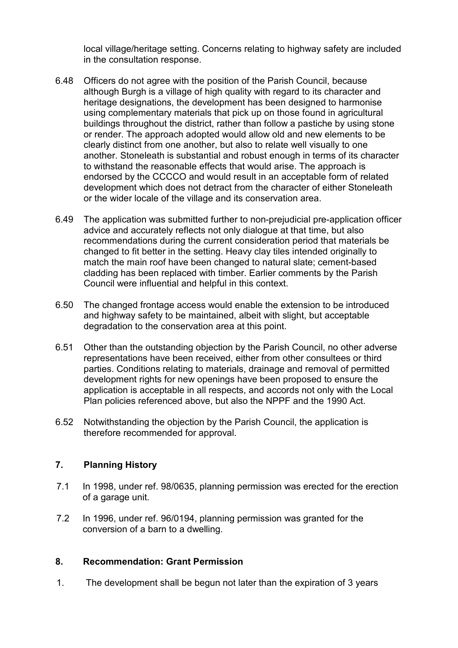local village/heritage setting. Concerns relating to highway safety are included in the consultation response.

- 6.48 Officers do not agree with the position of the Parish Council, because although Burgh is a village of high quality with regard to its character and heritage designations, the development has been designed to harmonise using complementary materials that pick up on those found in agricultural buildings throughout the district, rather than follow a pastiche by using stone or render. The approach adopted would allow old and new elements to be clearly distinct from one another, but also to relate well visually to one another. Stoneleath is substantial and robust enough in terms of its character to withstand the reasonable effects that would arise. The approach is endorsed by the CCCCO and would result in an acceptable form of related development which does not detract from the character of either Stoneleath or the wider locale of the village and its conservation area.
- 6.49 The application was submitted further to non-prejudicial pre-application officer advice and accurately reflects not only dialogue at that time, but also recommendations during the current consideration period that materials be changed to fit better in the setting. Heavy clay tiles intended originally to match the main roof have been changed to natural slate; cement-based cladding has been replaced with timber. Earlier comments by the Parish Council were influential and helpful in this context.
- 6.50 The changed frontage access would enable the extension to be introduced and highway safety to be maintained, albeit with slight, but acceptable degradation to the conservation area at this point.
- 6.51 Other than the outstanding objection by the Parish Council, no other adverse representations have been received, either from other consultees or third parties. Conditions relating to materials, drainage and removal of permitted development rights for new openings have been proposed to ensure the application is acceptable in all respects, and accords not only with the Local Plan policies referenced above, but also the NPPF and the 1990 Act.
- 6.52 Notwithstanding the objection by the Parish Council, the application is therefore recommended for approval.

### **7. Planning History**

- 7.1 In 1998, under ref. 98/0635, planning permission was erected for the erection of a garage unit.
- 7.2 In 1996, under ref. 96/0194, planning permission was granted for the conversion of a barn to a dwelling.

# **8. Recommendation: Grant Permission**

1. The development shall be begun not later than the expiration of 3 years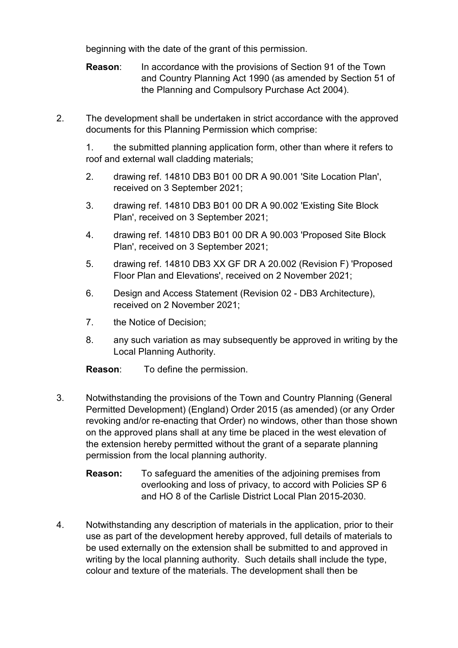beginning with the date of the grant of this permission.

- **Reason**: In accordance with the provisions of Section 91 of the Town and Country Planning Act 1990 (as amended by Section 51 of the Planning and Compulsory Purchase Act 2004).
- 2. The development shall be undertaken in strict accordance with the approved documents for this Planning Permission which comprise:

1. the submitted planning application form, other than where it refers to roof and external wall cladding materials;

- 2. drawing ref. 14810 DB3 B01 00 DR A 90.001 'Site Location Plan', received on 3 September 2021;
- 3. drawing ref. 14810 DB3 B01 00 DR A 90.002 'Existing Site Block Plan', received on 3 September 2021;
- 4. drawing ref. 14810 DB3 B01 00 DR A 90.003 'Proposed Site Block Plan', received on 3 September 2021;
- 5. drawing ref. 14810 DB3 XX GF DR A 20.002 (Revision F) 'Proposed Floor Plan and Elevations', received on 2 November 2021;
- 6. Design and Access Statement (Revision 02 DB3 Architecture), received on 2 November 2021;
- 7. the Notice of Decision;
- 8. any such variation as may subsequently be approved in writing by the Local Planning Authority.

**Reason**: To define the permission.

- 3. Notwithstanding the provisions of the Town and Country Planning (General Permitted Development) (England) Order 2015 (as amended) (or any Order revoking and/or re-enacting that Order) no windows, other than those shown on the approved plans shall at any time be placed in the west elevation of the extension hereby permitted without the grant of a separate planning permission from the local planning authority.
	- **Reason:** To safeguard the amenities of the adjoining premises from overlooking and loss of privacy, to accord with Policies SP 6 and HO 8 of the Carlisle District Local Plan 2015-2030.
- 4. Notwithstanding any description of materials in the application, prior to their use as part of the development hereby approved, full details of materials to be used externally on the extension shall be submitted to and approved in writing by the local planning authority. Such details shall include the type, colour and texture of the materials. The development shall then be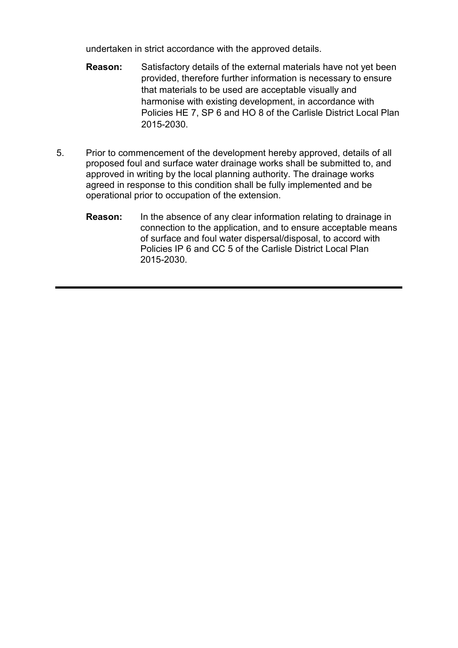undertaken in strict accordance with the approved details.

- **Reason:** Satisfactory details of the external materials have not yet been provided, therefore further information is necessary to ensure that materials to be used are acceptable visually and harmonise with existing development, in accordance with Policies HE 7, SP 6 and HO 8 of the Carlisle District Local Plan 2015-2030.
- 5. Prior to commencement of the development hereby approved, details of all proposed foul and surface water drainage works shall be submitted to, and approved in writing by the local planning authority. The drainage works agreed in response to this condition shall be fully implemented and be operational prior to occupation of the extension.
	- **Reason:** In the absence of any clear information relating to drainage in connection to the application, and to ensure acceptable means of surface and foul water dispersal/disposal, to accord with Policies IP 6 and CC 5 of the Carlisle District Local Plan 2015-2030.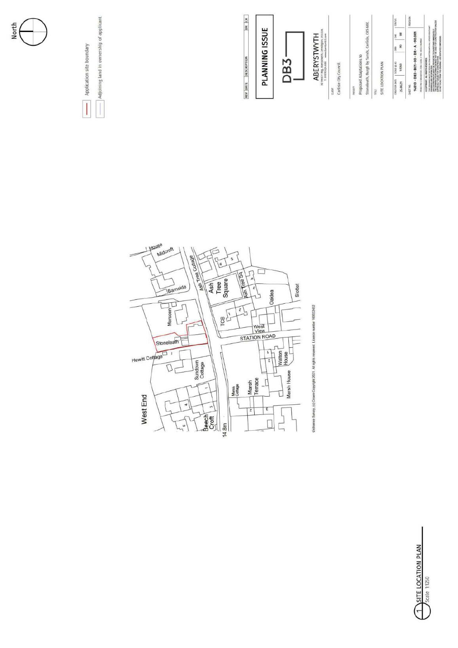

Adjoining land in ownership of applicant Application site boundary





 $\begin{array}{c|c}\n\hline\n\text{OR} & \text{OR} \\
\hline\n\text{PQ} & \text{BR}\n\end{array}$ 

 $\begin{array}{ll} \textbf{OSE13} \\ \textbf{IV} \oplus \textbf{STOS} \end{array}$ 

 $\begin{array}{c} \text{C651700} \text{ } 0.817 \\ \text{Z5.0027} \end{array}$ 

затио<br>14810 - DB3-B01-00 - DR- A -90.001<br>институтования повтрантии поттивия

o community, as, usants seconds<br>the construction of the second construction with a construction seconds<br>the construction of the second construction and construction of<br>any construction of the second construction of the co

DR CH

REV DATE DESCRIPTION

**T** SITE LOCATION PLAN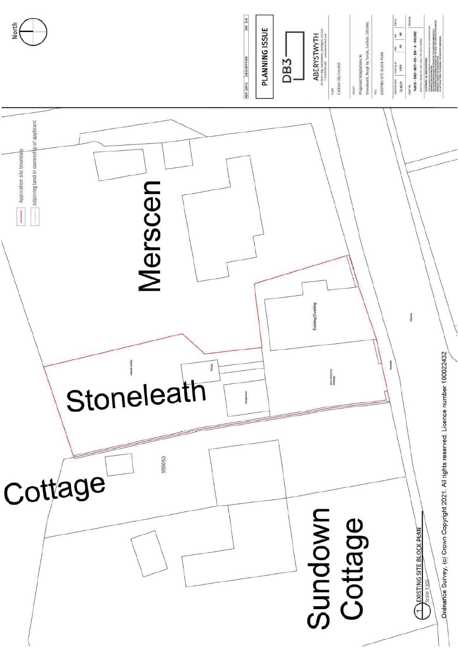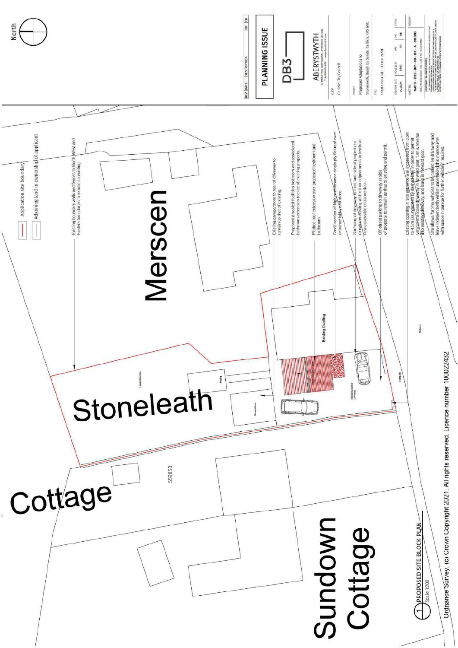